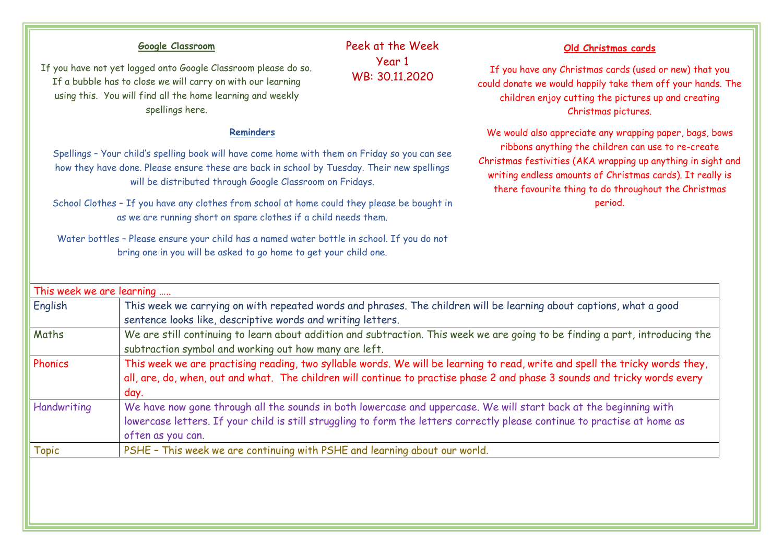## This week we are learning ….. English This week we carrying on with repeated words and phrases. The children will be learning about captions, what a good sentence looks like, descriptive words and writing letters. Maths We are still continuing to learn about addition and subtraction. This week we are going to be finding a part, introducing the subtraction symbol and working out how many are left. Phonics This week we are practising reading, two syllable words. We will be learning to read, write and spell the tricky words they, all, are, do, when, out and what. The children will continue to practise phase 2 and phase 3 sounds and tricky words every day. Handwriting We have now gone through all the sounds in both lowercase and uppercase. We will start back at the beginning with lowercase letters. If your child is still struggling to form the letters correctly please continue to practise at home as often as you can. Topic PSHE – This week we are continuing with PSHE and learning about our world. Peek at the Week Year 1 WB: 30.11.2020 **Reminders** Spellings – Your child's spelling book will have come home with them on Friday so you can see how they have done. Please ensure these are back in school by Tuesday. Their new spellings will be distributed through Google Classroom on Fridays. School Clothes – If you have any clothes from school at home could they please be bought in as we are running short on spare clothes if a child needs them. Water bottles – Please ensure your child has a named water bottle in school. If you do not bring one in you will be asked to go home to get your child one. **Google Classroom** If you have not yet logged onto Google Classroom please do so. If a bubble has to close we will carry on with our learning using this. You will find all the home learning and weekly spellings here. **Old Christmas cards** If you have any Christmas cards (used or new) that you could donate we would happily take them off your hands. The children enjoy cutting the pictures up and creating Christmas pictures. We would also appreciate any wrapping paper, bags, bows ribbons anything the children can use to re-create Christmas festivities (AKA wrapping up anything in sight and writing endless amounts of Christmas cards). It really is there favourite thing to do throughout the Christmas period.